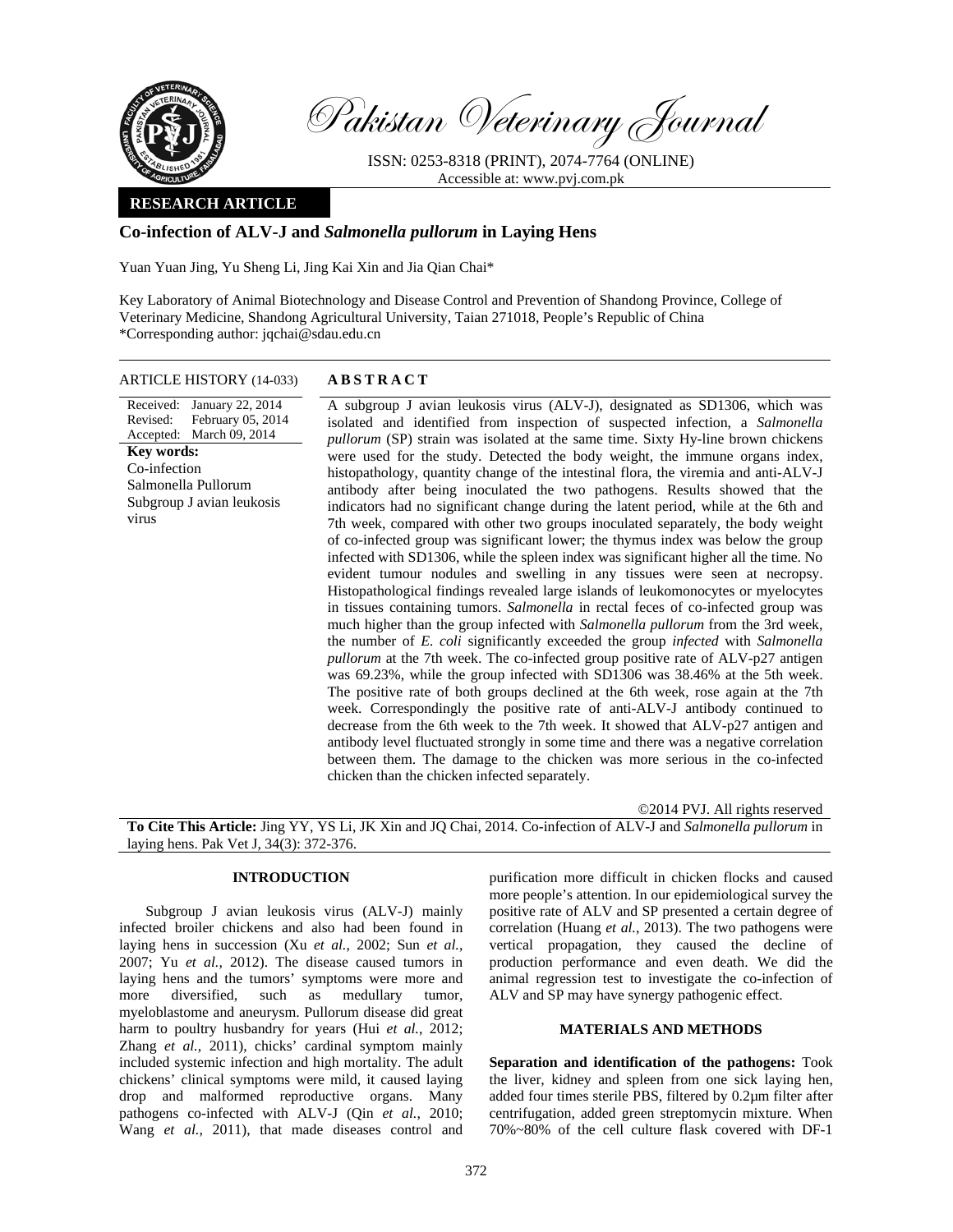

Pakistan Veterinary Journal

ISSN: 0253-8318 (PRINT), 2074-7764 (ONLINE) Accessible at: www.pvj.com.pk

## **RESEARCH ARTICLE**

# **Co-infection of ALV-J and** *Salmonella pullorum* **in Laying Hens**

Yuan Yuan Jing, Yu Sheng Li, Jing Kai Xin and Jia Qian Chai\*

Key Laboratory of Animal Biotechnology and Disease Control and Prevention of Shandong Province, College of Veterinary Medicine, Shandong Agricultural University, Taian 271018, People's Republic of China \*Corresponding author: jqchai@sdau.edu.cn

### ARTICLE HISTORY (14-033) **ABSTRACT**

Received: January 22, 2014 Revised: Accepted: March 09, 2014 February 05, 2014 **Key words:**  Co-infection Salmonella Pullorum Subgroup J avian leukosis virus

 A subgroup J avian leukosis virus (ALV-J), designated as SD1306, which was isolated and identified from inspection of suspected infection, a *Salmonella pullorum* (SP) strain was isolated at the same time. Sixty Hy-line brown chickens were used for the study. Detected the body weight, the immune organs index, histopathology, quantity change of the intestinal flora, the viremia and anti-ALV-J antibody after being inoculated the two pathogens. Results showed that the indicators had no significant change during the latent period, while at the 6th and 7th week, compared with other two groups inoculated separately, the body weight of co-infected group was significant lower; the thymus index was below the group infected with SD1306, while the spleen index was significant higher all the time. No evident tumour nodules and swelling in any tissues were seen at necropsy. Histopathological findings revealed large islands of leukomonocytes or myelocytes in tissues containing tumors. *Salmonella* in rectal feces of co-infected group was much higher than the group infected with *Salmonella pullorum* from the 3rd week, the number of *E. coli* significantly exceeded the group *infected* with *Salmonella pullorum* at the 7th week. The co-infected group positive rate of ALV-p27 antigen was 69.23%, while the group infected with SD1306 was 38.46% at the 5th week. The positive rate of both groups declined at the 6th week, rose again at the 7th week. Correspondingly the positive rate of anti-ALV-J antibody continued to decrease from the 6th week to the 7th week. It showed that ALV-p27 antigen and antibody level fluctuated strongly in some time and there was a negative correlation between them. The damage to the chicken was more serious in the co-infected chicken than the chicken infected separately.

©2014 PVJ. All rights reserved **To Cite This Article:** Jing YY, YS Li, JK Xin and JQ Chai, 2014. Co-infection of ALV-J and *Salmonella pullorum* in laying hens. Pak Vet J, 34(3): 372-376.

## **INTRODUCTION**

Subgroup J avian leukosis virus (ALV-J) mainly infected broiler chickens and also had been found in laying hens in succession (Xu *et al.*, 2002; Sun *et al.*, 2007; Yu *et al.*, 2012). The disease caused tumors in laying hens and the tumors' symptoms were more and more diversified, such as medullary tumor, myeloblastome and aneurysm. Pullorum disease did great harm to poultry husbandry for years (Hui *et al.*, 2012; Zhang *et al.*, 2011), chicks' cardinal symptom mainly included systemic infection and high mortality. The adult chickens' clinical symptoms were mild, it caused laying drop and malformed reproductive organs. Many pathogens co-infected with ALV-J (Qin *et al.*, 2010; Wang *et al.*, 2011), that made diseases control and

purification more difficult in chicken flocks and caused more people's attention. In our epidemiological survey the positive rate of ALV and SP presented a certain degree of correlation (Huang *et al.*, 2013). The two pathogens were vertical propagation, they caused the decline of production performance and even death. We did the animal regression test to investigate the co-infection of ALV and SP may have synergy pathogenic effect.

# **MATERIALS AND METHODS**

**Separation and identification of the pathogens:** Took the liver, kidney and spleen from one sick laying hen, added four times sterile PBS, filtered by 0.2µm filter after centrifugation, added green streptomycin mixture. When 70%~80% of the cell culture flask covered with DF-1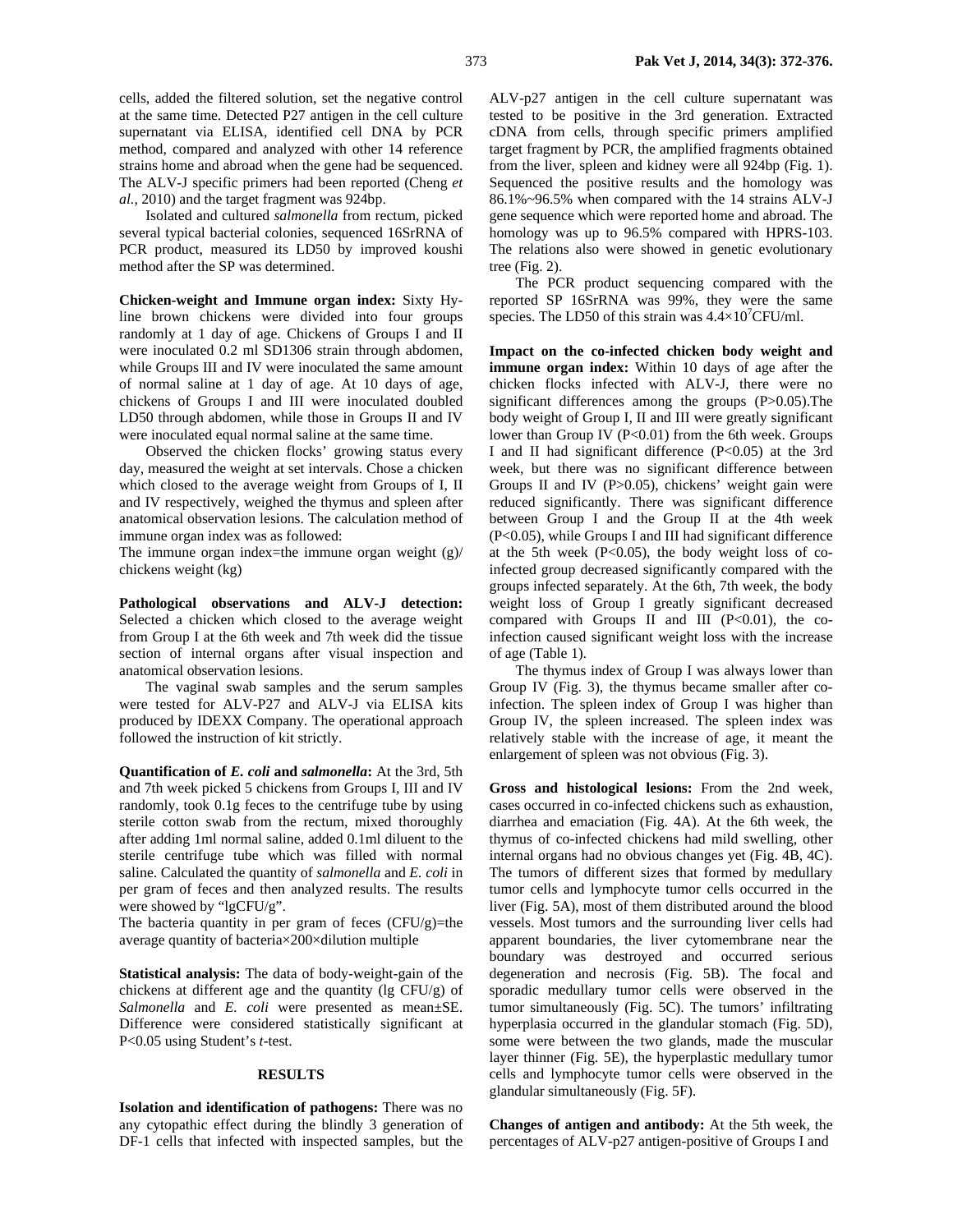cells, added the filtered solution, set the negative control at the same time. Detected P27 antigen in the cell culture supernatant via ELISA, identified cell DNA by PCR method, compared and analyzed with other 14 reference strains home and abroad when the gene had be sequenced. The ALV-J specific primers had been reported (Cheng *et al.*, 2010) and the target fragment was 924bp.

Isolated and cultured *salmonella* from rectum, picked several typical bacterial colonies, sequenced 16SrRNA of PCR product, measured its LD50 by improved koushi method after the SP was determined.

**Chicken-weight and Immune organ index:** Sixty Hyline brown chickens were divided into four groups randomly at 1 day of age. Chickens of Groups I and II were inoculated 0.2 ml SD1306 strain through abdomen, while Groups III and IV were inoculated the same amount of normal saline at 1 day of age. At 10 days of age, chickens of Groups I and III were inoculated doubled LD50 through abdomen, while those in Groups II and IV were inoculated equal normal saline at the same time.

Observed the chicken flocks' growing status every day, measured the weight at set intervals. Chose a chicken which closed to the average weight from Groups of I, II and IV respectively, weighed the thymus and spleen after anatomical observation lesions. The calculation method of immune organ index was as followed:

The immune organ index=the immune organ weight (g)/ chickens weight (kg)

**Pathological observations and ALV-J detection:**  Selected a chicken which closed to the average weight from Group I at the 6th week and 7th week did the tissue section of internal organs after visual inspection and anatomical observation lesions.

The vaginal swab samples and the serum samples were tested for ALV-P27 and ALV-J via ELISA kits produced by IDEXX Company. The operational approach followed the instruction of kit strictly.

**Quantification of** *E. coli* **and** *salmonella***:** At the 3rd, 5th and 7th week picked 5 chickens from Groups I, III and IV randomly, took 0.1g feces to the centrifuge tube by using sterile cotton swab from the rectum, mixed thoroughly after adding 1ml normal saline, added 0.1ml diluent to the sterile centrifuge tube which was filled with normal saline. Calculated the quantity of *salmonella* and *E. coli* in per gram of feces and then analyzed results. The results were showed by "lgCFU/g".

The bacteria quantity in per gram of feces  $(CFU/g)=$ the average quantity of bacteria×200×dilution multiple

**Statistical analysis:** The data of body-weight-gain of the chickens at different age and the quantity (lg CFU/g) of *Salmonella* and *E. coli* were presented as mean±SE. Difference were considered statistically significant at P<0.05 using Student's *t*-test.

#### **RESULTS**

**Isolation and identification of pathogens:** There was no any cytopathic effect during the blindly 3 generation of DF-1 cells that infected with inspected samples, but the

ALV-p27 antigen in the cell culture supernatant was tested to be positive in the 3rd generation. Extracted cDNA from cells, through specific primers amplified target fragment by PCR, the amplified fragments obtained from the liver, spleen and kidney were all 924bp (Fig. 1). Sequenced the positive results and the homology was 86.1%~96.5% when compared with the 14 strains ALV-J gene sequence which were reported home and abroad. The homology was up to 96.5% compared with HPRS-103. The relations also were showed in genetic evolutionary tree (Fig. 2).

The PCR product sequencing compared with the reported SP 16SrRNA was 99%, they were the same species. The LD50 of this strain was  $4.4 \times 10^{7}$ CFU/ml.

**Impact on the co-infected chicken body weight and immune organ index:** Within 10 days of age after the chicken flocks infected with ALV-J, there were no significant differences among the groups (P>0.05). The body weight of Group I, II and III were greatly significant lower than Group IV  $(P<0.01)$  from the 6th week. Groups I and II had significant difference (P<0.05) at the 3rd week, but there was no significant difference between Groups II and IV (P>0.05), chickens' weight gain were reduced significantly. There was significant difference between Group I and the Group II at the 4th week (P<0.05), while Groups I and III had significant difference at the 5th week  $(P<0.05)$ , the body weight loss of coinfected group decreased significantly compared with the groups infected separately. At the 6th, 7th week, the body weight loss of Group I greatly significant decreased compared with Groups II and III  $(P<0.01)$ , the coinfection caused significant weight loss with the increase of age (Table 1).

The thymus index of Group I was always lower than Group IV (Fig. 3), the thymus became smaller after coinfection. The spleen index of Group I was higher than Group IV, the spleen increased. The spleen index was relatively stable with the increase of age, it meant the enlargement of spleen was not obvious (Fig. 3).

**Gross and histological lesions:** From the 2nd week, cases occurred in co-infected chickens such as exhaustion, diarrhea and emaciation (Fig. 4A). At the 6th week, the thymus of co-infected chickens had mild swelling, other internal organs had no obvious changes yet (Fig. 4B, 4C). The tumors of different sizes that formed by medullary tumor cells and lymphocyte tumor cells occurred in the liver (Fig. 5A), most of them distributed around the blood vessels. Most tumors and the surrounding liver cells had apparent boundaries, the liver cytomembrane near the boundary was destroyed and occurred serious degeneration and necrosis (Fig. 5B). The focal and sporadic medullary tumor cells were observed in the tumor simultaneously (Fig. 5C). The tumors' infiltrating hyperplasia occurred in the glandular stomach (Fig. 5D), some were between the two glands, made the muscular layer thinner (Fig. 5E), the hyperplastic medullary tumor cells and lymphocyte tumor cells were observed in the glandular simultaneously (Fig. 5F).

**Changes of antigen and antibody:** At the 5th week, the percentages of ALV-p27 antigen-positive of Groups I and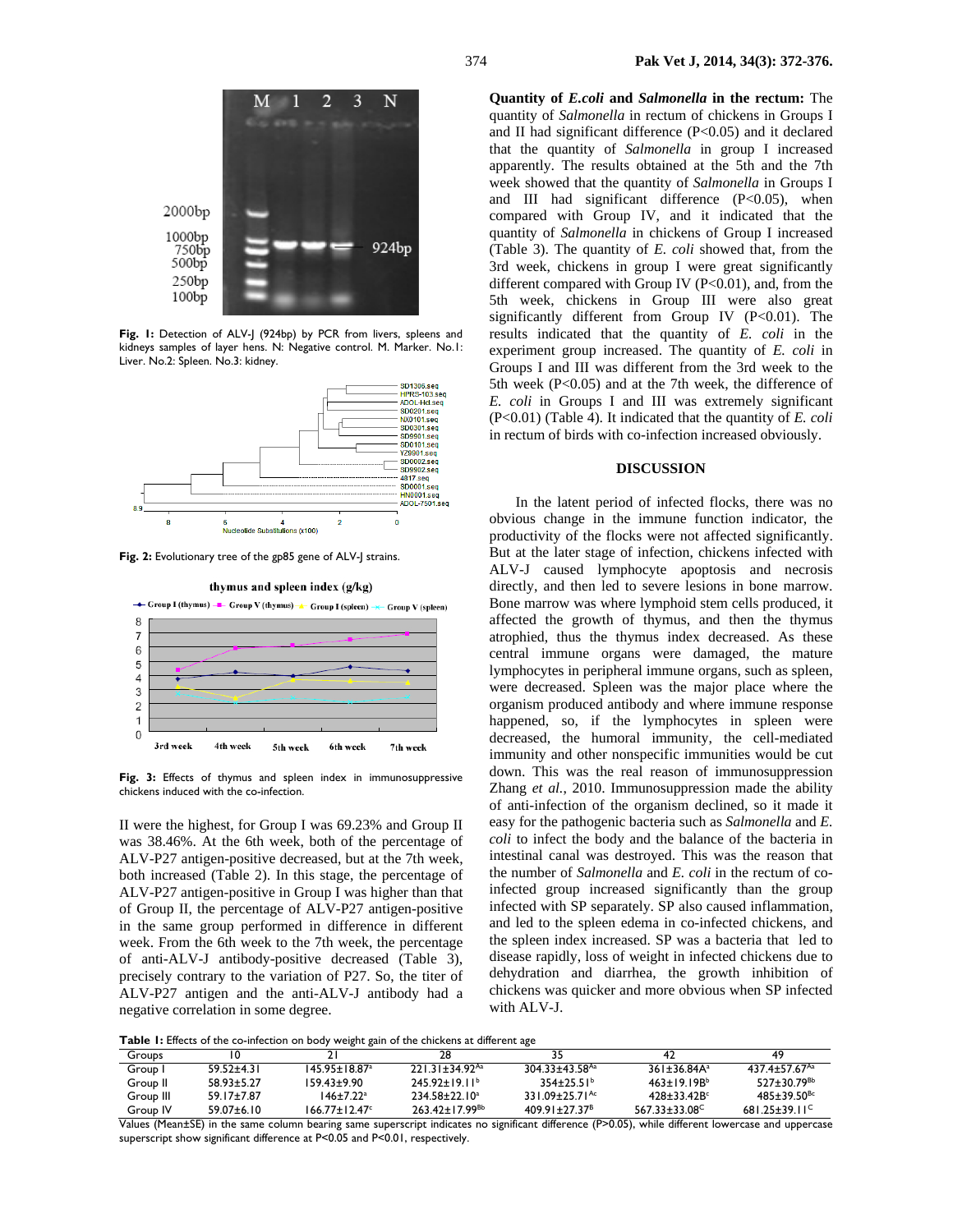

Fig. 1: Detection of ALV-J (924bp) by PCR from livers, spleens and kidneys samples of layer hens. N: Negative control. M. Marker. No.1: Liver. No.2: Spleen. No.3: kidney.



Fig. 2: Evolutionary tree of the gp85 gene of ALV-J strains.



**Fig. 3:** Effects of thymus and spleen index in immunosuppressive chickens induced with the co-infection.

II were the highest, for Group I was 69.23% and Group II was 38.46%. At the 6th week, both of the percentage of ALV-P27 antigen-positive decreased, but at the 7th week, both increased (Table 2). In this stage, the percentage of ALV-P27 antigen-positive in Group I was higher than that of Group II, the percentage of ALV-P27 antigen-positive in the same group performed in difference in different week. From the 6th week to the 7th week, the percentage of anti-ALV-J antibody-positive decreased (Table 3), precisely contrary to the variation of P27. So, the titer of ALV-P27 antigen and the anti-ALV-J antibody had a negative correlation in some degree.

**Quantity of** *E.coli* **and** *Salmonella* **in the rectum:** The quantity of *Salmonella* in rectum of chickens in Groups I and II had significant difference (P<0.05) and it declared that the quantity of *Salmonella* in group I increased apparently. The results obtained at the 5th and the 7th week showed that the quantity of *Salmonella* in Groups I and III had significant difference (P<0.05), when compared with Group IV, and it indicated that the quantity of *Salmonella* in chickens of Group I increased (Table 3). The quantity of *E. coli* showed that, from the 3rd week, chickens in group I were great significantly different compared with Group IV  $(P<0.01)$ , and, from the 5th week, chickens in Group III were also great significantly different from Group IV  $(P<0.01)$ . The results indicated that the quantity of *E. coli* in the experiment group increased. The quantity of *E. coli* in Groups I and III was different from the 3rd week to the 5th week (P<0.05) and at the 7th week, the difference of *E. coli* in Groups I and III was extremely significant (P<0.01) (Table 4). It indicated that the quantity of *E. coli* in rectum of birds with co-infection increased obviously.

#### **DISCUSSION**

In the latent period of infected flocks, there was no obvious change in the immune function indicator, the productivity of the flocks were not affected significantly. But at the later stage of infection, chickens infected with ALV-J caused lymphocyte apoptosis and necrosis directly, and then led to severe lesions in bone marrow. Bone marrow was where lymphoid stem cells produced, it affected the growth of thymus, and then the thymus atrophied, thus the thymus index decreased. As these central immune organs were damaged, the mature lymphocytes in peripheral immune organs, such as spleen, were decreased. Spleen was the major place where the organism produced antibody and where immune response happened, so, if the lymphocytes in spleen were decreased, the humoral immunity, the cell-mediated immunity and other nonspecific immunities would be cut down. This was the real reason of immunosuppression Zhang *et al.*, 2010. Immunosuppression made the ability of anti-infection of the organism declined, so it made it easy for the pathogenic bacteria such as *Salmonella* and *E. coli* to infect the body and the balance of the bacteria in intestinal canal was destroyed. This was the reason that the number of *Salmonella* and *E. coli* in the rectum of coinfected group increased significantly than the group infected with SP separately. SP also caused inflammation, and led to the spleen edema in co-infected chickens, and the spleen index increased. SP was a bacteria that led to disease rapidly, loss of weight in infected chickens due to dehydration and diarrhea, the growth inhibition of chickens was quicker and more obvious when SP infected with ALV-J.

**Table 1:** Effects of the co-infection on body weight gain of the chickens at different age

| <b>Twele</b> it miles of the soundstronger of soap from the side of the sincreme as allen and |                  |                           |                                |                                |                           |                             |  |
|-----------------------------------------------------------------------------------------------|------------------|---------------------------|--------------------------------|--------------------------------|---------------------------|-----------------------------|--|
| Groups                                                                                        |                  |                           | 28                             |                                |                           |                             |  |
| Group I                                                                                       | 59.52+4.31       | $145.95 + 18.87a$         | $221.31 + 34.92$ <sup>Aa</sup> | $304.33 + 43.58$ <sup>Aa</sup> | $361 + 3684A^a$           | $4374 + 5767$               |  |
| Group II                                                                                      | 5893+527         | I 59.43±9.90              | $745.97 + 19.11b$              | $354+25.51b$                   | $463+19.19Bb$             | $527 + 30.79$ <sup>Bb</sup> |  |
| Group III                                                                                     | $59.17 \pm 7.87$ | $146 + 7.22$ <sup>a</sup> | $234.58+22.10a$                | 331.09 + 25.71 <sup>Ac</sup>   | $428 + 3342B$             | $485 + 39.50^{Bc}$          |  |
| Group IV                                                                                      | $59.07 \pm 6.10$ | $166.77 + 12.47$ °        | $263.42+17.99^{Bb}$            | $409.91 + 27.37^8$             | 567 33+33 08 <sup>C</sup> | $681.25 + 39.11^{\circ}$    |  |

Values (Mean±SE) in the same column bearing same superscript indicates no significant difference (P>0.05), while different lowercase and uppercase superscript show significant difference at P<0.05 and P<0.01, respectively.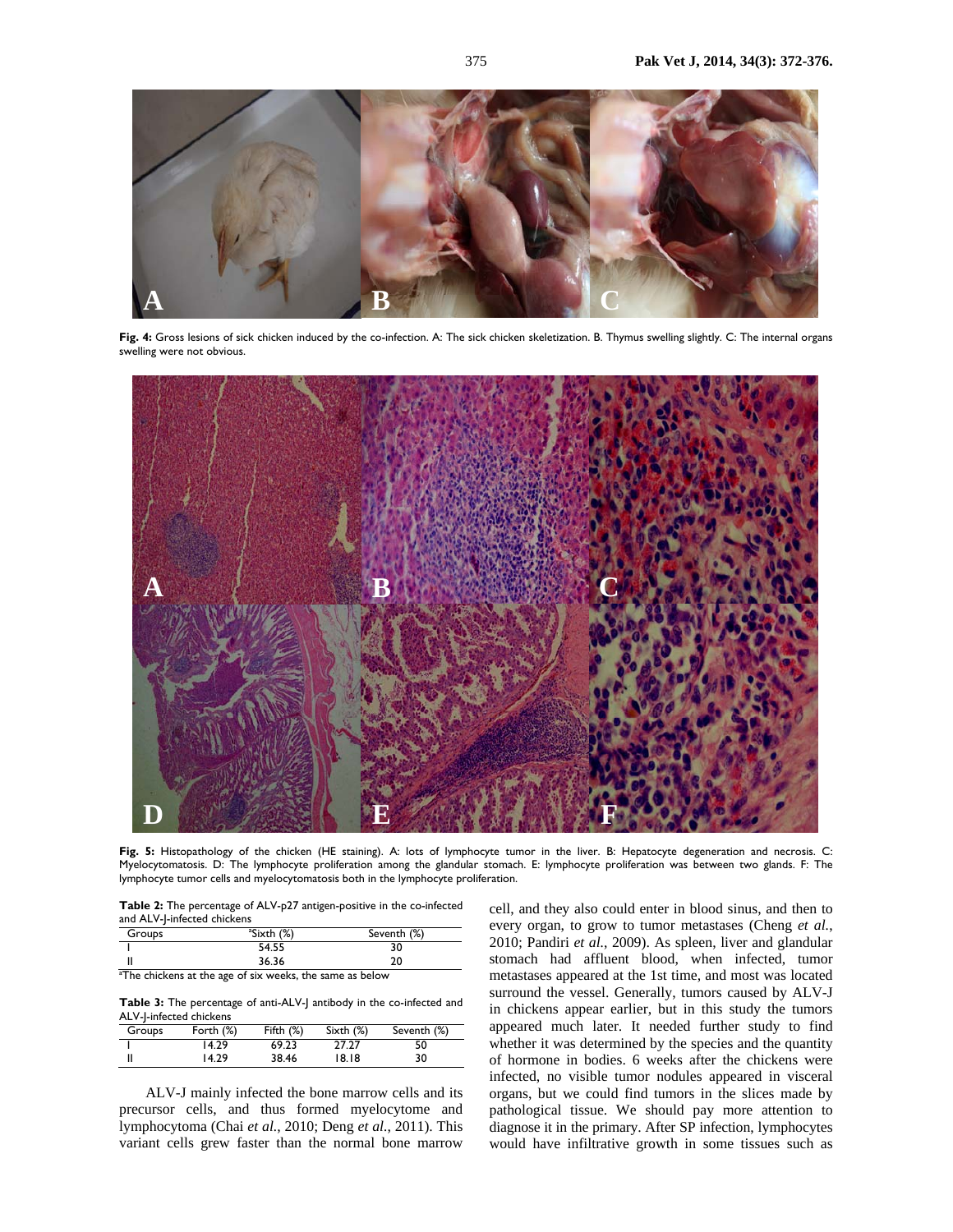

**Fig. 4:** Gross lesions of sick chicken induced by the co-infection. A: The sick chicken skeletization. B. Thymus swelling slightly. C: The internal organs swelling were not obvious.



Fig. 5: Histopathology of the chicken (HE staining). A: lots of lymphocyte tumor in the liver. B: Hepatocyte degeneration and necrosis. C: Myelocytomatosis. D: The lymphocyte proliferation among the glandular stomach. E: lymphocyte proliferation was between two glands. F: The lymphocyte tumor cells and myelocytomatosis both in the lymphocyte proliferation.

**Table 2:** The percentage of ALV-p27 antigen-positive in the co-infected and ALV-J-infected chickens

| Groups    | <sup>a</sup> Sixth (%) | Seventh (%) |
|-----------|------------------------|-------------|
|           | 54.55                  | טכ          |
|           | 36.36                  |             |
| $-1$<br>. |                        |             |

<sup>a</sup>The chickens at the age of six weeks, the same as below

**Table 3:** The percentage of anti-ALV-J antibody in the co-infected and ALV-J-infected chickens

| Groups | Forth $(\%)$ | Fifth $(\%)$ | Sixth $(\%)$ | Seventh (%) |  |
|--------|--------------|--------------|--------------|-------------|--|
|        | 14.29        | 69.23        | 27.27        | 50          |  |
|        | 14.29        | 38.46        | 18.18        | 30          |  |

ALV-J mainly infected the bone marrow cells and its precursor cells, and thus formed myelocytome and lymphocytoma (Chai *et al.*, 2010; Deng *et al.*, 2011). This variant cells grew faster than the normal bone marrow

cell, and they also could enter in blood sinus, and then to every organ, to grow to tumor metastases (Cheng *et al.*, 2010; Pandiri *et al.*, 2009). As spleen, liver and glandular stomach had affluent blood, when infected, tumor metastases appeared at the 1st time, and most was located surround the vessel. Generally, tumors caused by ALV-J in chickens appear earlier, but in this study the tumors appeared much later. It needed further study to find whether it was determined by the species and the quantity of hormone in bodies. 6 weeks after the chickens were infected, no visible tumor nodules appeared in visceral organs, but we could find tumors in the slices made by pathological tissue. We should pay more attention to diagnose it in the primary. After SP infection, lymphocytes would have infiltrative growth in some tissues such as